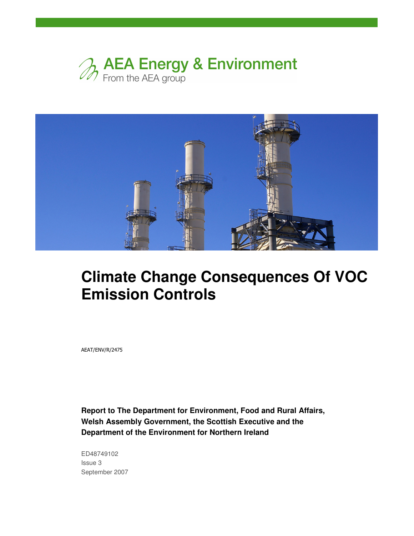



# **Climate Change Consequences Of VOC Emission Controls**

AEAT/ENV/R/2475

**Report to The Department for Environment, Food and Rural Affairs, Welsh Assembly Government, the Scottish Executive and the Department of the Environment for Northern Ireland** 

ED48749102 Issue 3 September 2007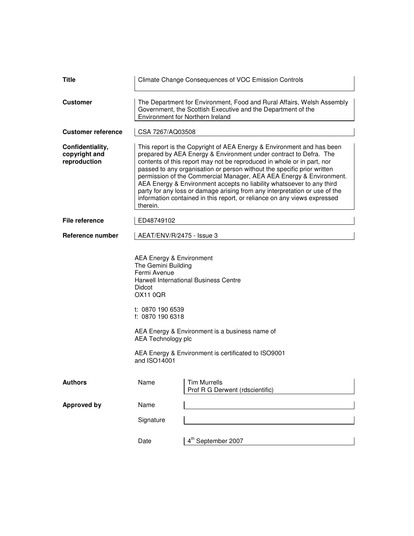| <b>Title</b>                                      | Climate Change Consequences of VOC Emission Controls                                                                                                                                                                                                                                                                                                                                                                                                                                                                                                                                                                  |                                                        |  |  |  |
|---------------------------------------------------|-----------------------------------------------------------------------------------------------------------------------------------------------------------------------------------------------------------------------------------------------------------------------------------------------------------------------------------------------------------------------------------------------------------------------------------------------------------------------------------------------------------------------------------------------------------------------------------------------------------------------|--------------------------------------------------------|--|--|--|
| <b>Customer</b>                                   | The Department for Environment, Food and Rural Affairs, Welsh Assembly<br>Government, the Scottish Executive and the Department of the<br>Environment for Northern Ireland                                                                                                                                                                                                                                                                                                                                                                                                                                            |                                                        |  |  |  |
| <b>Customer reference</b>                         | CSA 7267/AQ03508                                                                                                                                                                                                                                                                                                                                                                                                                                                                                                                                                                                                      |                                                        |  |  |  |
| Confidentiality,<br>copyright and<br>reproduction | This report is the Copyright of AEA Energy & Environment and has been<br>prepared by AEA Energy & Environment under contract to Defra. The<br>contents of this report may not be reproduced in whole or in part, nor<br>passed to any organisation or person without the specific prior written<br>permission of the Commercial Manager, AEA AEA Energy & Environment.<br>AEA Energy & Environment accepts no liability whatsoever to any third<br>party for any loss or damage arising from any interpretation or use of the<br>information contained in this report, or reliance on any views expressed<br>therein. |                                                        |  |  |  |
| File reference                                    | ED48749102                                                                                                                                                                                                                                                                                                                                                                                                                                                                                                                                                                                                            |                                                        |  |  |  |
| Reference number                                  | AEAT/ENV/R/2475 - Issue 3                                                                                                                                                                                                                                                                                                                                                                                                                                                                                                                                                                                             |                                                        |  |  |  |
|                                                   | <b>AEA Energy &amp; Environment</b><br>The Gemini Building<br>Fermi Avenue<br><b>Harwell International Business Centre</b><br>Didcot<br>OX11 0OR                                                                                                                                                                                                                                                                                                                                                                                                                                                                      |                                                        |  |  |  |
|                                                   | t: 0870 190 6539<br>f: 0870 190 6318                                                                                                                                                                                                                                                                                                                                                                                                                                                                                                                                                                                  |                                                        |  |  |  |
|                                                   | AEA Energy & Environment is a business name of<br>AEA Technology plc                                                                                                                                                                                                                                                                                                                                                                                                                                                                                                                                                  |                                                        |  |  |  |
|                                                   | AEA Energy & Environment is certificated to ISO9001<br>and ISO14001                                                                                                                                                                                                                                                                                                                                                                                                                                                                                                                                                   |                                                        |  |  |  |
| <b>Authors</b>                                    | Name                                                                                                                                                                                                                                                                                                                                                                                                                                                                                                                                                                                                                  | <b>Tim Murrells</b><br>Prof R G Derwent (rdscientific) |  |  |  |
| <b>Approved by</b>                                | Name                                                                                                                                                                                                                                                                                                                                                                                                                                                                                                                                                                                                                  |                                                        |  |  |  |
|                                                   | Signature                                                                                                                                                                                                                                                                                                                                                                                                                                                                                                                                                                                                             |                                                        |  |  |  |
|                                                   | Date                                                                                                                                                                                                                                                                                                                                                                                                                                                                                                                                                                                                                  | 4 <sup>th</sup> September 2007                         |  |  |  |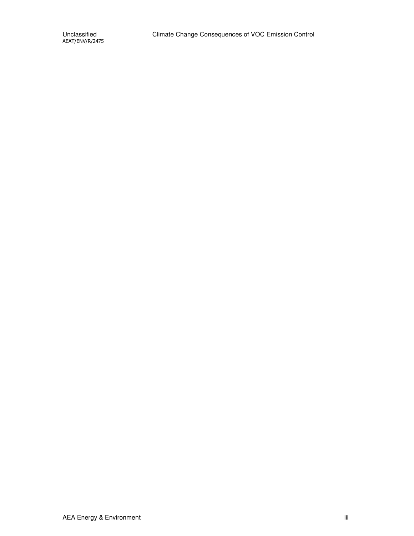AEA Energy & Environment iii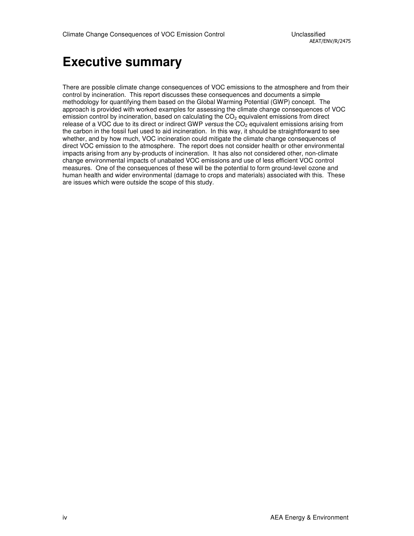### **Executive summary**

There are possible climate change consequences of VOC emissions to the atmosphere and from their control by incineration. This report discusses these consequences and documents a simple methodology for quantifying them based on the Global Warming Potential (GWP) concept. The approach is provided with worked examples for assessing the climate change consequences of VOC emission control by incineration, based on calculating the  $CO<sub>2</sub>$  equivalent emissions from direct release of a VOC due to its direct or indirect GWP versus the  $CO<sub>2</sub>$  equivalent emissions arising from the carbon in the fossil fuel used to aid incineration. In this way, it should be straightforward to see whether, and by how much, VOC incineration could mitigate the climate change consequences of direct VOC emission to the atmosphere. The report does not consider health or other environmental impacts arising from any by-products of incineration. It has also not considered other, non-climate change environmental impacts of unabated VOC emissions and use of less efficient VOC control measures. One of the consequences of these will be the potential to form ground-level ozone and human health and wider environmental (damage to crops and materials) associated with this. These are issues which were outside the scope of this study.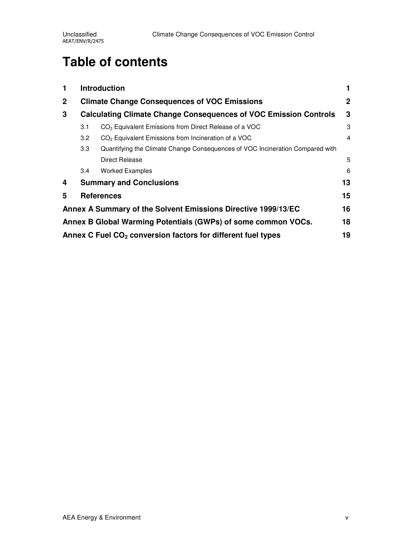### **Table of contents**

| 1                                                             |                                                                         | <b>Introduction</b>                                                           | 1  |
|---------------------------------------------------------------|-------------------------------------------------------------------------|-------------------------------------------------------------------------------|----|
| $\overline{2}$                                                | <b>Climate Change Consequences of VOC Emissions</b>                     |                                                                               |    |
| 3                                                             | <b>Calculating Climate Change Consequences of VOC Emission Controls</b> |                                                                               |    |
|                                                               | 3.1                                                                     | CO <sub>2</sub> Equivalent Emissions from Direct Release of a VOC             | 3  |
|                                                               | 3.2                                                                     | $CO2$ Equivalent Emissions from Incineration of a VOC                         | 4  |
|                                                               | 3.3 <sub>1</sub>                                                        | Quantifying the Climate Change Consequences of VOC Incineration Compared with |    |
|                                                               |                                                                         | Direct Release                                                                | 5  |
|                                                               | 3.4                                                                     | <b>Worked Examples</b>                                                        | 6  |
| 4                                                             | <b>Summary and Conclusions</b>                                          |                                                                               | 13 |
| 5                                                             | <b>References</b>                                                       |                                                                               | 15 |
|                                                               |                                                                         | Annex A Summary of the Solvent Emissions Directive 1999/13/EC                 | 16 |
| Annex B Global Warming Potentials (GWPs) of some common VOCs. |                                                                         |                                                                               | 18 |
|                                                               |                                                                         | Annex C Fuel CO <sub>2</sub> conversion factors for different fuel types      | 19 |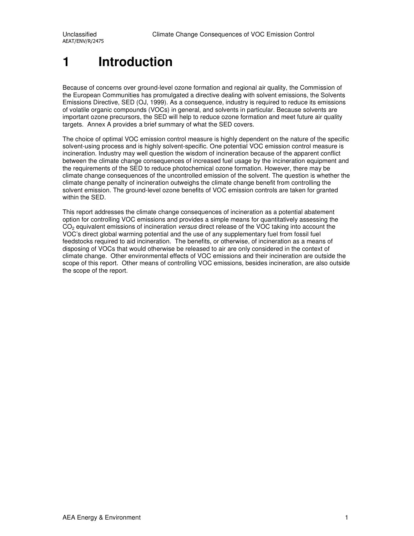# **1 Introduction**

Because of concerns over ground-level ozone formation and regional air quality, the Commission of the European Communities has promulgated a directive dealing with solvent emissions, the Solvents Emissions Directive, SED (OJ, 1999). As a consequence, industry is required to reduce its emissions of volatile organic compounds (VOCs) in general, and solvents in particular. Because solvents are important ozone precursors, the SED will help to reduce ozone formation and meet future air quality targets. Annex A provides a brief summary of what the SED covers.

The choice of optimal VOC emission control measure is highly dependent on the nature of the specific solvent-using process and is highly solvent-specific. One potential VOC emission control measure is incineration. Industry may well question the wisdom of incineration because of the apparent conflict between the climate change consequences of increased fuel usage by the incineration equipment and the requirements of the SED to reduce photochemical ozone formation. However, there may be climate change consequences of the uncontrolled emission of the solvent. The question is whether the climate change penalty of incineration outweighs the climate change benefit from controlling the solvent emission. The ground-level ozone benefits of VOC emission controls are taken for granted within the SED.

This report addresses the climate change consequences of incineration as a potential abatement option for controlling VOC emissions and provides a simple means for quantitatively assessing the CO<sub>2</sub> equivalent emissions of incineration versus direct release of the VOC taking into account the VOC's direct global warming potential and the use of any supplementary fuel from fossil fuel feedstocks required to aid incineration. The benefits, or otherwise, of incineration as a means of disposing of VOCs that would otherwise be released to air are only considered in the context of climate change. Other environmental effects of VOC emissions and their incineration are outside the scope of this report. Other means of controlling VOC emissions, besides incineration, are also outside the scope of the report.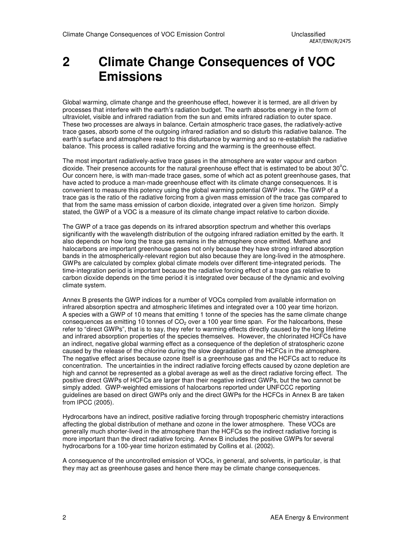# **2 Climate Change Consequences of VOC Emissions**

Global warming, climate change and the greenhouse effect, however it is termed, are all driven by processes that interfere with the earth's radiation budget. The earth absorbs energy in the form of ultraviolet, visible and infrared radiation from the sun and emits infrared radiation to outer space. These two processes are always in balance. Certain atmospheric trace gases, the radiatively-active trace gases, absorb some of the outgoing infrared radiation and so disturb this radiative balance. The earth's surface and atmosphere react to this disturbance by warming and so re-establish the radiative balance. This process is called radiative forcing and the warming is the greenhouse effect.

The most important radiatively-active trace gases in the atmosphere are water vapour and carbon dioxide. Their presence accounts for the natural greenhouse effect that is estimated to be about  $30^{\circ}$ C. Our concern here, is with man-made trace gases, some of which act as potent greenhouse gases, that have acted to produce a man-made greenhouse effect with its climate change consequences. It is convenient to measure this potency using the global warming potential GWP index. The GWP of a trace gas is the ratio of the radiative forcing from a given mass emission of the trace gas compared to that from the same mass emission of carbon dioxide, integrated over a given time horizon. Simply stated, the GWP of a VOC is a measure of its climate change impact relative to carbon dioxide.

The GWP of a trace gas depends on its infrared absorption spectrum and whether this overlaps significantly with the wavelength distribution of the outgoing infrared radiation emitted by the earth. It also depends on how long the trace gas remains in the atmosphere once emitted. Methane and halocarbons are important greenhouse gases not only because they have strong infrared absorption bands in the atmospherically-relevant region but also because they are long-lived in the atmosphere. GWPs are calculated by complex global climate models over different time-integrated periods. The time-integration period is important because the radiative forcing effect of a trace gas relative to carbon dioxide depends on the time period it is integrated over because of the dynamic and evolving climate system.

Annex B presents the GWP indices for a number of VOCs compiled from available information on infrared absorption spectra and atmospheric lifetimes and integrated over a 100 year time horizon. A species with a GWP of 10 means that emitting 1 tonne of the species has the same climate change consequences as emitting 10 tonnes of  $CO<sub>2</sub>$  over a 100 year time span. For the halocarbons, these refer to "direct GWPs", that is to say, they refer to warming effects directly caused by the long lifetime and infrared absorption properties of the species themselves. However, the chlorinated HCFCs have an indirect, negative global warming effect as a consequence of the depletion of stratospheric ozone caused by the release of the chlorine during the slow degradation of the HCFCs in the atmosphere. The negative effect arises because ozone itself is a greenhouse gas and the HCFCs act to reduce its concentration. The uncertainties in the indirect radiative forcing effects caused by ozone depletion are high and cannot be represented as a global average as well as the direct radiative forcing effect. The positive direct GWPs of HCFCs are larger than their negative indirect GWPs, but the two cannot be simply added. GWP-weighted emissions of halocarbons reported under UNFCCC reporting guidelines are based on direct GWPs only and the direct GWPs for the HCFCs in Annex B are taken from IPCC (2005).

Hydrocarbons have an indirect, positive radiative forcing through tropospheric chemistry interactions affecting the global distribution of methane and ozone in the lower atmosphere. These VOCs are generally much shorter-lived in the atmosphere than the HCFCs so the indirect radiative forcing is more important than the direct radiative forcing. Annex B includes the positive GWPs for several hydrocarbons for a 100-year time horizon estimated by Collins et al. (2002).

A consequence of the uncontrolled emission of VOCs, in general, and solvents, in particular, is that they may act as greenhouse gases and hence there may be climate change consequences.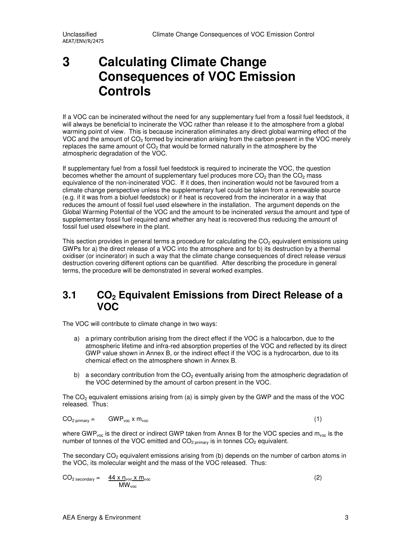### **3 Calculating Climate Change Consequences of VOC Emission Controls**

If a VOC can be incinerated without the need for any supplementary fuel from a fossil fuel feedstock, it will always be beneficial to incinerate the VOC rather than release it to the atmosphere from a global warming point of view. This is because incineration eliminates any direct global warming effect of the VOC and the amount of  $CO<sub>2</sub>$  formed by incineration arising from the carbon present in the VOC merely replaces the same amount of  $CO<sub>2</sub>$  that would be formed naturally in the atmosphere by the atmospheric degradation of the VOC.

If supplementary fuel from a fossil fuel feedstock is required to incinerate the VOC, the question becomes whether the amount of supplementary fuel produces more  $CO<sub>2</sub>$  than the  $CO<sub>2</sub>$  mass equivalence of the non-incinerated VOC. If it does, then incineration would not be favoured from a climate change perspective unless the supplementary fuel could be taken from a renewable source (e.g. if it was from a biofuel feedstock) or if heat is recovered from the incinerator in a way that reduces the amount of fossil fuel used elsewhere in the installation. The argument depends on the Global Warming Potential of the VOC and the amount to be incinerated versus the amount and type of supplementary fossil fuel required and whether any heat is recovered thus reducing the amount of fossil fuel used elsewhere in the plant.

This section provides in general terms a procedure for calculating the  $CO<sub>2</sub>$  equivalent emissions using GWPs for a) the direct release of a VOC into the atmosphere and for b) its destruction by a thermal oxidiser (or incinerator) in such a way that the climate change consequences of direct release versus destruction covering different options can be quantified. After describing the procedure in general terms, the procedure will be demonstrated in several worked examples.

### **3.1 CO2 Equivalent Emissions from Direct Release of a VOC**

The VOC will contribute to climate change in two ways:

- a) a primary contribution arising from the direct effect if the VOC is a halocarbon, due to the atmospheric lifetime and infra-red absorption properties of the VOC and reflected by its direct GWP value shown in Annex B, or the indirect effect if the VOC is a hydrocarbon, due to its chemical effect on the atmosphere shown in Annex B.
- b) a secondary contribution from the  $CO<sub>2</sub>$  eventually arising from the atmospheric degradation of the VOC determined by the amount of carbon present in the VOC.

The  $CO<sub>2</sub>$  equivalent emissions arising from (a) is simply given by the GWP and the mass of the VOC released. Thus:

$$
CO_{2\,primary} = \qquad GWP_{\text{voc}} \times m_{\text{voc}} \tag{1}
$$

where GWP<sub>voc</sub> is the direct or indirect GWP taken from Annex B for the VOC species and  $m_{\text{vac}}$  is the number of tonnes of the VOC emitted and  $CO_{2\,primary}$  is in tonnes  $CO_{2}$  equivalent.

The secondary  $CO<sub>2</sub>$  equivalent emissions arising from (b) depends on the number of carbon atoms in the VOC, its molecular weight and the mass of the VOC released. Thus:

$$
CO_{2\text{ secondary}} = \frac{44 \times n_{\text{voc}} \times m_{\text{voc}}}{MW_{\text{voc}}}
$$
 (2)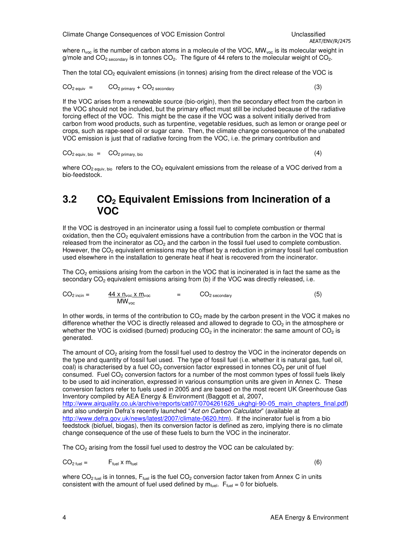where  $n_{\text{voc}}$  is the number of carbon atoms in a molecule of the VOC,  $MW_{\text{voc}}$  is its molecular weight in g/mole and  $CO<sub>2</sub>$ <sub>secondary</sub> is in tonnes  $CO<sub>2</sub>$ . The figure of 44 refers to the molecular weight of  $CO<sub>2</sub>$ .

Then the total  $CO<sub>2</sub>$  equivalent emissions (in tonnes) arising from the direct release of the VOC is

$$
CO2\,equiv = CO2\,primary + CO2\,secondary
$$
 (3)

If the VOC arises from a renewable source (bio-origin), then the secondary effect from the carbon in the VOC should not be included, but the primary effect must still be included because of the radiative forcing effect of the VOC. This might be the case if the VOC was a solvent initially derived from carbon from wood products, such as turpentine, vegetable residues, such as lemon or orange peel or crops, such as rape-seed oil or sugar cane. Then, the climate change consequence of the unabated VOC emission is just that of radiative forcing from the VOC, i.e. the primary contribution and

$$
CO2 \t{equiv} \t{CO2 \t{prime} \t{to} \t{to} \t{O2 \t{primary, bio}}
$$

where  $CO_{2 \text{ equiv, bio}}$  refers to the  $CO_{2}$  equivalent emissions from the release of a VOC derived from a bio-feedstock.

### **3.2 CO2 Equivalent Emissions from Incineration of a VOC**

If the VOC is destroyed in an incinerator using a fossil fuel to complete combustion or thermal oxidation, then the  $CO<sub>2</sub>$  equivalent emissions have a contribution from the carbon in the VOC that is released from the incinerator as  $CO<sub>2</sub>$  and the carbon in the fossil fuel used to complete combustion. However, the  $CO<sub>2</sub>$  equivalent emissions may be offset by a reduction in primary fossil fuel combustion used elsewhere in the installation to generate heat if heat is recovered from the incinerator.

The  $CO<sub>2</sub>$  emissions arising from the carbon in the VOC that is incinerated is in fact the same as the secondary CO<sub>2</sub> equivalent emissions arising from (b) if the VOC was directly released, i.e.

 $CO<sub>2 incin</sub> =$   $\frac{44 \times n_{\text{Voc}} \times m_{\text{Voc}}}{45}$  =  $CO<sub>2 secondary</sub>$  (5)  $MW<sub>vac</sub>$ 

In other words, in terms of the contribution to  $CO<sub>2</sub>$  made by the carbon present in the VOC it makes no difference whether the VOC is directly released and allowed to degrade to  $CO<sub>2</sub>$  in the atmosphere or whether the VOC is oxidised (burned) producing  $CO<sub>2</sub>$  in the incinerator: the same amount of  $CO<sub>2</sub>$  is generated.

The amount of  $CO<sub>2</sub>$  arising from the fossil fuel used to destroy the VOC in the incinerator depends on the type and quantity of fossil fuel used. The type of fossil fuel (i.e. whether it is natural gas, fuel oil, coal) is characterised by a fuel  $CO<sub>2</sub>$  conversion factor expressed in tonnes  $CO<sub>2</sub>$  per unit of fuel consumed. Fuel  $CO<sub>2</sub>$  conversion factors for a number of the most common types of fossil fuels likely to be used to aid incineration, expressed in various consumption units are given in Annex C. These conversion factors refer to fuels used in 2005 and are based on the most recent UK Greenhouse Gas Inventory compiled by AEA Energy & Environment (Baggott et al, 2007, http://www.airquality.co.uk/archive/reports/cat07/0704261626\_ukghgi-90-05\_main\_chapters\_final.pdf) and also underpin Defra's recently launched "Act on Carbon Calculator" (available at http://www.defra.gov.uk/news/latest/2007/climate-0620.htm). If the incinerator fuel is from a bio feedstock (biofuel, biogas), then its conversion factor is defined as zero, implying there is no climate change consequence of the use of these fuels to burn the VOC in the incinerator.

The  $CO<sub>2</sub>$  arising from the fossil fuel used to destroy the VOC can be calculated by:

 $CO_{2 \text{ fuel}} =$  F<sub>fuel</sub> x m<sub>fuel</sub> (6) (6)

where  $CO_{2 \text{ fuel}}$  is in tonnes,  $F_{\text{fuel}}$  is the fuel  $CO_2$  conversion factor taken from Annex C in units consistent with the amount of fuel used defined by  $m_{fuel}$ .  $F_{fuel} = 0$  for biofuels.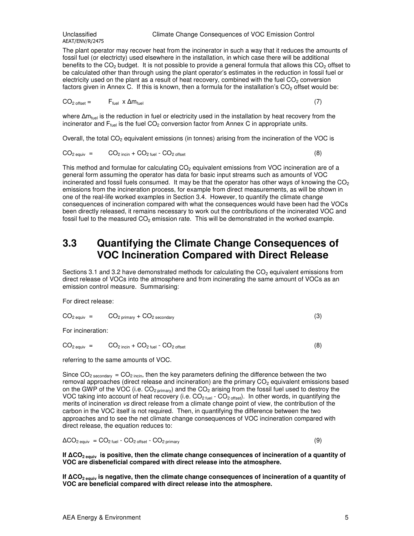The plant operator may recover heat from the incinerator in such a way that it reduces the amounts of fossil fuel (or electricty) used elsewhere in the installation, in which case there will be additional benefits to the  $CO<sub>2</sub>$  budget. It is not possible to provide a general formula that allows this  $CO<sub>2</sub>$  offset to be calculated other than through using the plant operator's estimates in the reduction in fossil fuel or electricity used on the plant as a result of heat recovery, combined with the fuel  $CO<sub>2</sub>$  conversion factors given in Annex C. If this is known, then a formula for the installation's  $CO<sub>2</sub>$  offset would be:

$$
CO_{2 \text{ offset}} = F_{\text{fuel}} \times \Delta m_{\text{fuel}}
$$
 (7)

where ∆m<sub>fuel</sub> is the reduction in fuel or electricity used in the installation by heat recovery from the incinerator and  $F_{fuel}$  is the fuel  $CO<sub>2</sub>$  conversion factor from Annex C in appropriate units.

Overall, the total  $CO<sub>2</sub>$  equivalent emissions (in tonnes) arising from the incineration of the VOC is

$$
CO_{2 \text{ equiv}} = \text{CO}_{2 \text{ incin}} + \text{CO}_{2 \text{ fuel}} - \text{CO}_{2 \text{ offset}}
$$
 (8)

This method and formulae for calculating  $CO<sub>2</sub>$  equivalent emissions from VOC incineration are of a general form assuming the operator has data for basic input streams such as amounts of VOC incinerated and fossil fuels consumed. It may be that the operator has other ways of knowing the  $CO<sub>2</sub>$ emissions from the incineration process, for example from direct measurements, as will be shown in one of the real-life worked examples in Section 3.4. However, to quantify the climate change consequences of incineration compared with what the consequences would have been had the VOCs been directly released, it remains necessary to work out the contributions of the incinerated VOC and fossil fuel to the measured  $CO<sub>2</sub>$  emission rate. This will be demonstrated in the worked example.

### **3.3 Quantifying the Climate Change Consequences of VOC Incineration Compared with Direct Release**

Sections 3.1 and 3.2 have demonstrated methods for calculating the  $CO<sub>2</sub>$  equivalent emissions from direct release of VOCs into the atmosphere and from incinerating the same amount of VOCs as an emission control measure. Summarising:

For direct release:

$$
CO2\,equiv \t CO2\,primary + CO2\,secondary
$$
\t(3)

For incineration:

$$
CO_{2\text{ equiv}} = \text{CO}_{2\text{ incin}} + \text{CO}_{2\text{ fuel}} - \text{CO}_{2\text{ offset}}
$$
 (8)

referring to the same amounts of VOC.

Since  $CO_{2\,\text{secondary}} = CO_{2\,\text{incin}}$ , then the key parameters defining the difference between the two removal approaches (direct release and incineration) are the primary  $CO<sub>2</sub>$  equivalent emissions based on the GWP of the VOC (i.e.  $CO<sub>2</sub> primary$ ) and the  $CO<sub>2</sub>$  arising from the fossil fuel used to destroy the VOC taking into account of heat recovery (i.e.  $CO_{2 \text{ fuel}}$  -  $CO_{2 \text{ offset}}$ ). In other words, in quantifying the merits of incineration vs direct release from a climate change point of view, the contribution of the carbon in the VOC itself is not required. Then, in quantifying the difference between the two approaches and to see the net climate change consequences of VOC incineration compared with direct release, the equation reduces to:

$$
\Delta CO_{2\text{ equiv}} = CO_{2\text{ fuel}} - CO_{2\text{ offset}} - CO_{2\text{ primary}}
$$
\n(9)

**If** ∆**CO2 equiv is positive, then the climate change consequences of incineration of a quantity of VOC are disbeneficial compared with direct release into the atmosphere.** 

**If** ∆**CO2 equiv is negative, then the climate change consequences of incineration of a quantity of VOC are beneficial compared with direct release into the atmosphere.**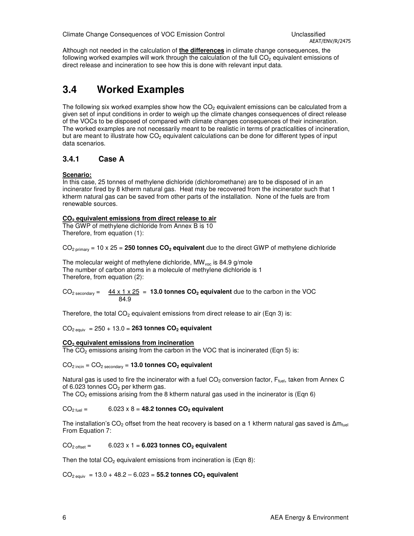Although not needed in the calculation of **the differences** in climate change consequences, the following worked examples will work through the calculation of the full  $CO<sub>2</sub>$  equivalent emissions of direct release and incineration to see how this is done with relevant input data.

### **3.4 Worked Examples**

The following six worked examples show how the  $CO<sub>2</sub>$  equivalent emissions can be calculated from a given set of input conditions in order to weigh up the climate changes consequences of direct release of the VOCs to be disposed of compared with climate changes consequences of their incineration. The worked examples are not necessarily meant to be realistic in terms of practicalities of incineration, but are meant to illustrate how  $CO<sub>2</sub>$  equivalent calculations can be done for different types of input data scenarios.

#### **3.4.1 Case A**

#### **Scenario:**

In this case, 25 tonnes of methylene dichloride (dichloromethane) are to be disposed of in an incinerator fired by 8 ktherm natural gas. Heat may be recovered from the incinerator such that 1 ktherm natural gas can be saved from other parts of the installation. None of the fuels are from renewable sources.

#### **CO 2 equivalent emissions from direct release to air**

The GWP of methylene dichloride from Annex B is 10 Therefore, from equation (1):

 $CO<sub>2</sub>$ <sub>primary</sub> = 10 x 25 = 250 tonnes  $CO<sub>2</sub>$  equivalent due to the direct GWP of methylene dichloride

The molecular weight of methylene dichloride,  $MW<sub>vac</sub>$  is 84.9 g/mole The number of carbon atoms in a molecule of methylene dichloride is 1 Therefore, from equation (2):

 $CO<sub>2</sub>$  secondary =  $44 \times 1 \times 25 = 13.0$  tonnes  $CO<sub>2</sub>$  equivalent due to the carbon in the VOC 84.9

Therefore, the total  $CO<sub>2</sub>$  equivalent emissions from direct release to air (Eqn 3) is:

 $CO_{2 \text{ equiv}} = 250 + 13.0 = 263 \text{ tonnes } CO_{2}$  equivalent

#### **CO 2 equivalent emissions from incineration**

The  $CO<sub>2</sub>$  emissions arising from the carbon in the VOC that is incinerated (Eqn 5) is:

CO2 incin = CO2 secondary = **13.0 tonnes CO2 equivalent** 

Natural gas is used to fire the incinerator with a fuel  $CO_2$  conversion factor,  $F_{\text{fuel}}$ , taken from Annex C of 6.023 tonnes  $CO<sub>2</sub>$  per ktherm gas.

The  $CO<sub>2</sub>$  emissions arising from the 8 ktherm natural gas used in the incinerator is (Eqn 6)

#### $CO_{2 \text{ fuel}} = 6.023 \times 8 = 48.2 \text{ tonnes } CO_{2} \text{ equivalent}$

The installation's CO<sub>2</sub> offset from the heat recovery is based on a 1 ktherm natural gas saved is  $\Delta m_{\text{fuel}}$ From Equation 7:

$$
CO_{2 \text{ offset}} = 6.023 \times 1 = 6.023 \text{ tonnes } CO_2 \text{ equivalent}
$$

Then the total  $CO<sub>2</sub>$  equivalent emissions from incineration is (Eqn 8):

 $CO_{2 \text{ equiv}} = 13.0 + 48.2 - 6.023 = 55.2$  **tonnes**  $CO_{2}$  **equivalent**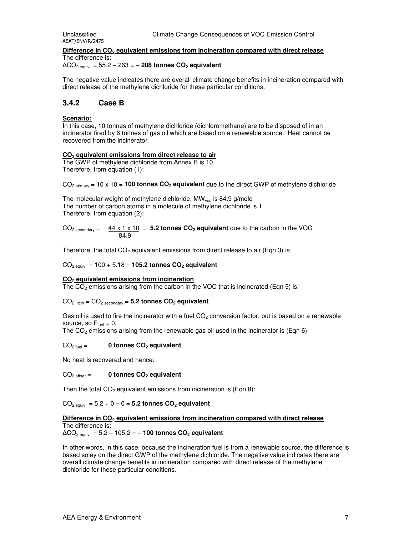**Difference in CO 2 equivalent emissions from incineration compared with direct release** The difference is: ∆CO2 equiv = 55.2 – 263 = – **208 tonnes CO2 equivalent**

The negative value indicates there are overall climate change benefits in incineration compared with direct release of the methylene dichloride for these particular conditions.

#### **3.4.2 Case B**

#### **Scenario:**

In this case, 10 tonnes of methylene dichloride (dichloromethane) are to be disposed of in an incinerator fired by 6 tonnes of gas oil which are based on a renewable source. Heat cannot be recovered from the incinerator.

#### **CO 2 equivalent emissions from direct release to air**

The GWP of methylene dichloride from Annex B is 10 Therefore, from equation (1):

CO2 primary = 10 x 10 = **100 tonnes CO2 equivalent** due to the direct GWP of methylene dichloride

The molecular weight of methylene dichloride,  $MW<sub>voc</sub>$  is 84.9 g/mole The number of carbon atoms in a molecule of methylene dichloride is 1 Therefore, from equation (2):

 $CO<sub>2</sub>$  secondary =  $44 \times 1 \times 10 = 5.2$  tonnes  $CO<sub>2</sub>$  equivalent due to the carbon in the VOC 84.9

Therefore, the total  $CO<sub>2</sub>$  equivalent emissions from direct release to air (Eqn 3) is:

#### $CO_{2 \text{ equiv}} = 100 + 5.18 = 105.2 \text{ tonnes } CO_{2} \text{ equivalent}$

#### **CO 2 equivalent emissions from incineration**

The  $CO<sub>2</sub>$  emissions arising from the carbon in the VOC that is incinerated (Eqn 5) is:

CO2 incin = CO2 secondary = **5.2 tonnes CO2 equivalent** 

Gas oil is used to fire the incinerator with a fuel  $CO<sub>2</sub>$  conversion factor, but is based on a renewable source, so  $F_{fuel} = 0$ .

The  $CO<sub>2</sub>$  emissions arising from the renewable gas oil used in the incinerator is (Eqn 6)

#### CO2 fuel = **0 tonnes CO2 equivalent**

No heat is recovered and hence:

#### CO2 offset = **0 tonnes CO2 equivalent**

Then the total  $CO<sub>2</sub>$  equivalent emissions from incineration is (Eqn 8):

 $CO_{2 \text{ equiv}} = 5.2 + 0 - 0 = 5.2 \text{ tonnes } CO_{2}$  equivalent

#### **Difference in CO 2 equivalent emissions from incineration compared with direct release** The difference is:

∆CO2 equiv = 5.2 – 105.2 = – **100 tonnes CO2 equivalent**

In other words, in this case, because the incineration fuel is from a renewable source, the difference is based soley on the direct GWP of the methylene dichloride. The negative value indicates there are overall climate change benefits in incineration compared with direct release of the methylene dichloride for these particular conditions.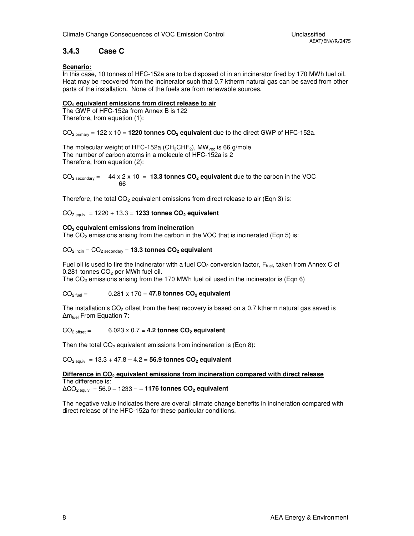#### **3.4.3 Case C**

#### **Scenario:**

In this case, 10 tonnes of HFC-152a are to be disposed of in an incinerator fired by 170 MWh fuel oil. Heat may be recovered from the incinerator such that 0.7 ktherm natural gas can be saved from other parts of the installation. None of the fuels are from renewable sources.

#### **CO 2 equivalent emissions from direct release to air**

The GWP of HFC-152a from Annex B is 122 Therefore, from equation (1):

CO2 primary = 122 x 10 = **1220 tonnes CO2 equivalent** due to the direct GWP of HFC-152a.

The molecular weight of HFC-152a ( $CH_3CHF_2$ ), MW<sub>voc</sub> is 66 g/mole The number of carbon atoms in a molecule of HFC-152a is 2 Therefore, from equation (2):

 $CO_{2\text{ secondary}} = 44 \times 2 \times 10 = 13.3 \text{ tonnes } CO_{2}\text{ equivalent due to the carbon in the VOC}$ **66 66** 

Therefore, the total  $CO<sub>2</sub>$  equivalent emissions from direct release to air (Eqn 3) is:

CO2 equiv = 1220 + 13.3 = **1233 tonnes CO2 equivalent** 

#### **CO 2 equivalent emissions from incineration**

The  $CO<sub>2</sub>$  emissions arising from the carbon in the VOC that is incinerated (Eqn 5) is:

CO2 incin = CO2 secondary = **13.3 tonnes CO2 equivalent** 

Fuel oil is used to fire the incinerator with a fuel  $CO<sub>2</sub>$  conversion factor,  $F<sub>fuel</sub>$ , taken from Annex C of 0.281 tonnes  $CO<sub>2</sub>$  per MWh fuel oil.

The  $CO<sub>2</sub>$  emissions arising from the 170 MWh fuel oil used in the incinerator is (Eqn 6)

#### $CO_{2 \text{ fuel}} = 0.281 \times 170 = 47.8 \text{ tonnes } CO_{2} \text{ equivalent}$

The installation's  $CO<sub>2</sub>$  offset from the heat recovery is based on a 0.7 ktherm natural gas saved is ∆mfuel From Equation 7:

 $CO<sub>2</sub>$ <sub>offset</sub> = 6.023 x 0.7 = **4.2 tonnes**  $CO<sub>2</sub>$  **equivalent** 

Then the total  $CO<sub>2</sub>$  equivalent emissions from incineration is (Eqn 8):

 $CO_{2 \text{ equity}} = 13.3 + 47.8 - 4.2 = 56.9 \text{ tonnes } CO_{2} \text{ equivalent}$ 

**Difference in CO 2 equivalent emissions from incineration compared with direct release** The difference is: ∆CO2 equiv = 56.9 – 1233 = – **1176 tonnes CO2 equivalent**

The negative value indicates there are overall climate change benefits in incineration compared with direct release of the HFC-152a for these particular conditions.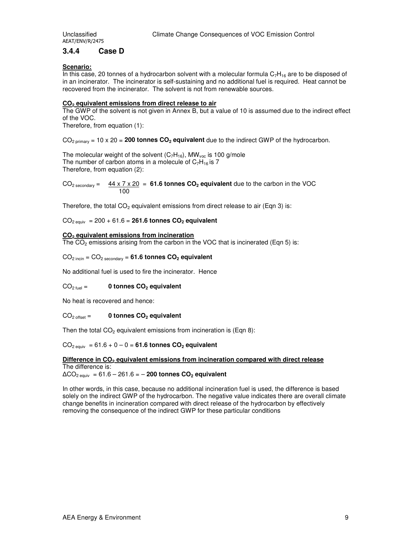#### **3.4.4 Case D**

#### **Scenario:**

In this case, 20 tonnes of a hydrocarbon solvent with a molecular formula  $C_7H_{16}$  are to be disposed of in an incinerator. The incinerator is self-sustaining and no additional fuel is required. Heat cannot be recovered from the incinerator. The solvent is not from renewable sources.

#### **CO 2 equivalent emissions from direct release to air**

The GWP of the solvent is not given in Annex B, but a value of 10 is assumed due to the indirect effect of the VOC.

Therefore, from equation (1):

CO2 primary = 10 x 20 = **200 tonnes CO2 equivalent** due to the indirect GWP of the hydrocarbon.

The molecular weight of the solvent  $(C_7H_{16})$ , MW<sub>voc</sub> is 100 g/mole The number of carbon atoms in a molecule of  $C_7H_{16}$  is 7 Therefore, from equation (2):

 $CO_{2\text{ secondary}} = 44 \times 7 \times 20 = 61.6 \text{ tonnes } CO_{2} \text{ equivalent due to the carbon in the VOC}$ **100** 

Therefore, the total  $CO<sub>2</sub>$  equivalent emissions from direct release to air (Eqn 3) is:

CO2 equiv = 200 + 61.6 = **261.6 tonnes CO2 equivalent** 

#### **CO 2 equivalent emissions from incineration**

The  $CO<sub>2</sub>$  emissions arising from the carbon in the VOC that is incinerated (Eqn 5) is:

CO2 incin = CO2 secondary = **61.6 tonnes CO2 equivalent** 

No additional fuel is used to fire the incinerator. Hence

CO2 fuel = **0 tonnes CO2 equivalent** 

No heat is recovered and hence:

CO2 offset = **0 tonnes CO2 equivalent** 

Then the total  $CO<sub>2</sub>$  equivalent emissions from incineration is (Eqn 8):

 $CO_{2 \text{ equiv}} = 61.6 + 0 - 0 = 61.6$  **tonnes**  $CO_{2}$  **equivalent** 

#### **Difference in CO 2 equivalent emissions from incineration compared with direct release** The difference is: ∆CO2 equiv = 61.6 – 261.6 = – **200 tonnes CO2 equivalent**

In other words, in this case, because no additional incineration fuel is used, the difference is based solely on the indirect GWP of the hydrocarbon. The negative value indicates there are overall climate change benefits in incineration compared with direct release of the hydrocarbon by effectively removing the consequence of the indirect GWP for these particular conditions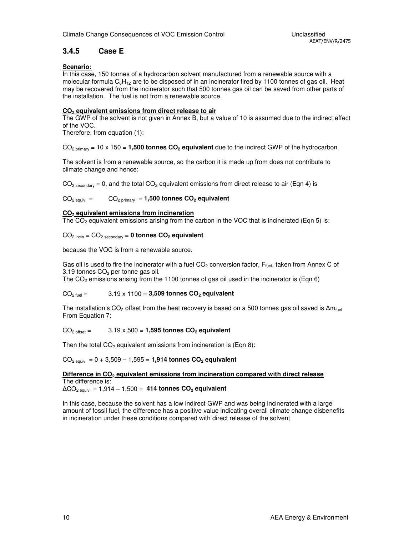### **3.4.5 Case E**

#### **Scenario:**

In this case, 150 tonnes of a hydrocarbon solvent manufactured from a renewable source with a molecular formula  $C_6H_{12}$  are to be disposed of in an incinerator fired by 1100 tonnes of gas oil. Heat may be recovered from the incinerator such that 500 tonnes gas oil can be saved from other parts of the installation. The fuel is not from a renewable source.

#### **CO 2 equivalent emissions from direct release to air**

The GWP of the solvent is not given in Annex B, but a value of 10 is assumed due to the indirect effect of the VOC.

Therefore, from equation (1):

CO2 primary = 10 x 150 = **1,500 tonnes CO2 equivalent** due to the indirect GWP of the hydrocarbon.

The solvent is from a renewable source, so the carbon it is made up from does not contribute to climate change and hence:

 $CO<sub>2</sub>$  secondary = 0, and the total  $CO<sub>2</sub>$  equivalent emissions from direct release to air (Eqn 4) is

 $CO_{2 \text{ equity}} = CO_{2 \text{ primary}} = 1,500 \text{ tonnes } CO_{2}$  equivalent

#### **CO 2 equivalent emissions from incineration**

The  $CO<sub>2</sub>$  equivalent emissions arising from the carbon in the VOC that is incinerated (Eqn 5) is:

CO2 incin = CO2 secondary = **0 tonnes CO2 equivalent** 

because the VOC is from a renewable source.

Gas oil is used to fire the incinerator with a fuel  $CO<sub>2</sub>$  conversion factor,  $F<sub>fuel</sub>$ , taken from Annex C of  $3.19$  tonnes  $CO<sub>2</sub>$  per tonne gas oil.

The  $CO<sub>2</sub>$  emissions arising from the 1100 tonnes of gas oil used in the incinerator is (Eqn 6)

$$
CO_{2 \text{ fuel}} = 3.19 \times 1100 = 3,509 \text{ tonnes } CO_2 \text{ equivalent}
$$

The installation's CO<sub>2</sub> offset from the heat recovery is based on a 500 tonnes gas oil saved is  $\Delta m_{\text{fuel}}$ From Equation 7:

 $CO<sub>2</sub>$ <sub>offset</sub> =  $3.19 \times 500 = 1,595$  **tonnes**  $CO<sub>2</sub>$  equivalent

Then the total  $CO<sub>2</sub>$  equivalent emissions from incineration is (Eqn 8):

 $CO_{2 \text{ equiv}} = 0 + 3,509 - 1,595 = 1,914 \text{ tonnes } CO_{2} \text{ equivalent}$ 

**Difference in CO 2 equivalent emissions from incineration compared with direct release** The difference is: ∆CO2 equiv = 1,914 – 1,500 = **414 tonnes CO2 equivalent**

In this case, because the solvent has a low indirect GWP and was being incinerated with a large amount of fossil fuel, the difference has a positive value indicating overall climate change disbenefits in incineration under these conditions compared with direct release of the solvent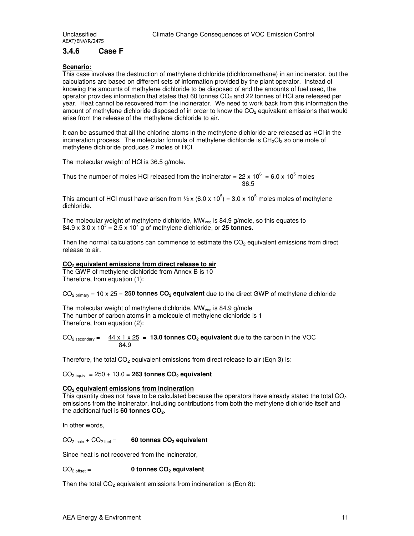#### **3.4.6 Case F**

#### **Scenario:**

This case involves the destruction of methylene dichloride (dichloromethane) in an incinerator, but the calculations are based on different sets of information provided by the plant operator. Instead of knowing the amounts of methylene dichloride to be disposed of and the amounts of fuel used, the operator provides information that states that 60 tonnes  $CO<sub>2</sub>$  and 22 tonnes of HCl are released per year. Heat cannot be recovered from the incinerator. We need to work back from this information the amount of methylene dichloride disposed of in order to know the  $CO<sub>2</sub>$  equivalent emissions that would arise from the release of the methylene dichloride to air.

It can be assumed that all the chlorine atoms in the methylene dichloride are released as HCl in the incineration process. The molecular formula of methylene dichloride is  $CH<sub>2</sub>Cl<sub>2</sub>$  so one mole of methylene dichloride produces 2 moles of HCl.

The molecular weight of HCl is 36.5 g/mole.

Thus the number of moles HCI released from the incinerator =  $22 \times 10^6$  = 6.0 x 10<sup>5</sup> moles  $36.5$ 

This amount of HCI must have arisen from  $\frac{1}{2}$  x (6.0 x 10<sup>5</sup>) = 3.0 x 10<sup>5</sup> moles moles of methylene dichloride.

The molecular weight of methylene dichloride,  $MW_{\text{voc}}$  is 84.9 g/mole, so this equates to  $84.9 \times 3.0 \times 10^5 = 2.5 \times 10^7$  g of methylene dichloride, or **25 tonnes.** 

Then the normal calculations can commence to estimate the  $CO<sub>2</sub>$  equivalent emissions from direct release to air.

#### **CO 2 equivalent emissions from direct release to air**

The GWP of methylene dichloride from Annex B is 10 Therefore, from equation (1):

CO2 primary = 10 x 25 = **250 tonnes CO2 equivalent** due to the direct GWP of methylene dichloride

The molecular weight of methylene dichloride,  $MW<sub>voc</sub>$  is 84.9 g/mole The number of carbon atoms in a molecule of methylene dichloride is 1 Therefore, from equation (2):

$$
CO_{2\text{ secondary}} = \frac{44 \times 1 \times 25}{84.9} = 13.0 \text{ tonnes CO}_2 \text{ equivalent due to the carbon in the VOC}
$$

Therefore, the total  $CO<sub>2</sub>$  equivalent emissions from direct release to air (Eqn 3) is:

 $CO_{2 \text{ equiv}} = 250 + 13.0 = 263 \text{ tonnes } CO_{2} \text{ equivalent}$ 

#### **CO 2 equivalent emissions from incineration**

This quantity does not have to be calculated because the operators have already stated the total  $CO<sub>2</sub>$ emissions from the incinerator, including contributions from both the methylene dichloride itself and the additional fuel is **60 tonnes CO2**.

In other words,

 $CO_{2 \text{ incl}} + CO_{2 \text{ fuel}} =$  **60 tonnes**  $CO_{2}$  **equivalent** 

Since heat is not recovered from the incinerator,

#### CO2 offset = **0 tonnes CO2 equivalent**

Then the total  $CO<sub>2</sub>$  equivalent emissions from incineration is (Eqn 8):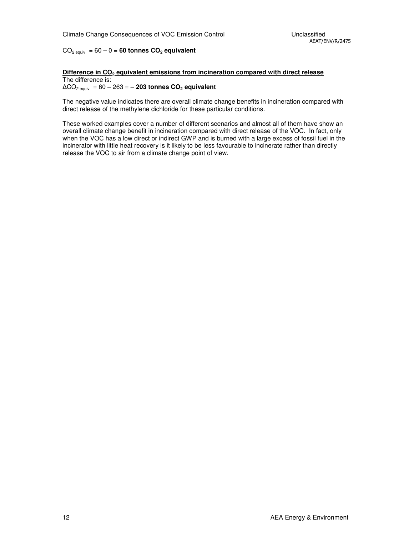#### $CO_{2 \text{ equity}} = 60 - 0 = 60 \text{ tonnes } CO_{2}$  equivalent

#### **Difference in CO 2 equivalent emissions from incineration compared with direct release** The difference is:

#### ∆CO2 equiv = 60 – 263 = – **203 tonnes CO2 equivalent**

The negative value indicates there are overall climate change benefits in incineration compared with direct release of the methylene dichloride for these particular conditions.

These worked examples cover a number of different scenarios and almost all of them have show an overall climate change benefit in incineration compared with direct release of the VOC. In fact, only when the VOC has a low direct or indirect GWP and is burned with a large excess of fossil fuel in the incinerator with little heat recovery is it likely to be less favourable to incinerate rather than directly release the VOC to air from a climate change point of view.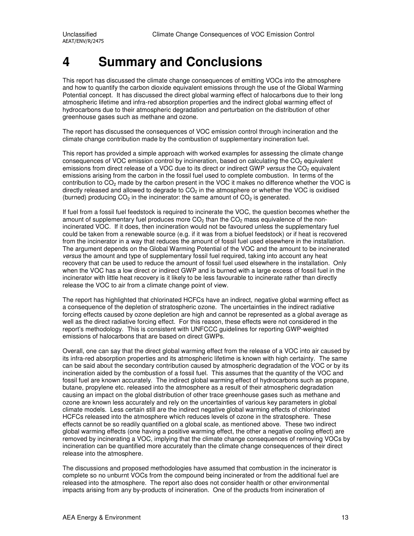# **4 Summary and Conclusions**

This report has discussed the climate change consequences of emitting VOCs into the atmosphere and how to quantify the carbon dioxide equivalent emissions through the use of the Global Warming Potential concept. It has discussed the direct global warming effect of halocarbons due to their long atmospheric lifetime and infra-red absorption properties and the indirect global warming effect of hydrocarbons due to their atmospheric degradation and perturbation on the distribution of other greenhouse gases such as methane and ozone.

The report has discussed the consequences of VOC emission control through incineration and the climate change contribution made by the combustion of supplementary incineration fuel.

This report has provided a simple approach with worked examples for assessing the climate change consequences of VOC emission control by incineration, based on calculating the  $CO<sub>2</sub>$  equivalent emissions from direct release of a VOC due to its direct or indirect GWP versus the CO<sub>2</sub> equivalent emissions arising from the carbon in the fossil fuel used to complete combustion. In terms of the contribution to  $CO<sub>2</sub>$  made by the carbon present in the VOC it makes no difference whether the VOC is directly released and allowed to degrade to  $CO<sub>2</sub>$  in the atmosphere or whether the VOC is oxidised (burned) producing  $CO<sub>2</sub>$  in the incinerator: the same amount of  $CO<sub>2</sub>$  is generated.

If fuel from a fossil fuel feedstock is required to incinerate the VOC, the question becomes whether the amount of supplementary fuel produces more  $CO<sub>2</sub>$  than the  $CO<sub>2</sub>$  mass equivalence of the nonincinerated VOC. If it does, then incineration would not be favoured unless the supplementary fuel could be taken from a renewable source (e.g. if it was from a biofuel feedstock) or if heat is recovered from the incinerator in a way that reduces the amount of fossil fuel used elsewhere in the installation. The argument depends on the Global Warming Potential of the VOC and the amount to be incinerated versus the amount and type of supplementary fossil fuel required, taking into account any heat recovery that can be used to reduce the amount of fossil fuel used elsewhere in the installation. Only when the VOC has a low direct or indirect GWP and is burned with a large excess of fossil fuel in the incinerator with little heat recovery is it likely to be less favourable to incinerate rather than directly release the VOC to air from a climate change point of view.

The report has highlighted that chlorinated HCFCs have an indirect, negative global warming effect as a consequence of the depletion of stratospheric ozone. The uncertainties in the indirect radiative forcing effects caused by ozone depletion are high and cannot be represented as a global average as well as the direct radiative forcing effect. For this reason, these effects were not considered in the report's methodology. This is consistent with UNFCCC guidelines for reporting GWP-weighted emissions of halocarbons that are based on direct GWPs.

Overall, one can say that the direct global warming effect from the release of a VOC into air caused by its infra-red absorption properties and its atmospheric lifetime is known with high certainty. The same can be said about the secondary contribution caused by atmospheric degradation of the VOC or by its incineration aided by the combustion of a fossil fuel. This assumes that the quantity of the VOC and fossil fuel are known accurately. The indirect global warming effect of hydrocarbons such as propane, butane, propylene etc. released into the atmosphere as a result of their atmospheric degradation causing an impact on the global distribution of other trace greenhouse gases such as methane and ozone are known less accurately and rely on the uncertainties of various key parameters in global climate models. Less certain still are the indirect negative global warming effects of chlorinated HCFCs released into the atmosphere which reduces levels of ozone in the stratosphere. These effects cannot be so readily quantified on a global scale, as mentioned above. These two indirect global warming effects (one having a positive warming effect, the other a negative cooling effect) are removed by incinerating a VOC, implying that the climate change consequences of removing VOCs by incineration can be quantified more accurately than the climate change consequences of their direct release into the atmosphere.

The discussions and proposed methodologies have assumed that combustion in the incinerator is complete so no unburnt VOCs from the compound being incinerated or from the additional fuel are released into the atmosphere. The report also does not consider health or other environmental impacts arising from any by-products of incineration. One of the products from incineration of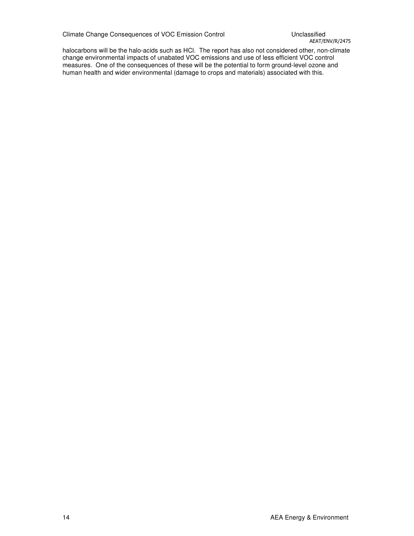Climate Change Consequences of VOC Emission Control Unclassified

halocarbons will be the halo-acids such as HCl. The report has also not considered other, non-climate change environmental impacts of unabated VOC emissions and use of less efficient VOC control measures. One of the consequences of these will be the potential to form ground-level ozone and human health and wider environmental (damage to crops and materials) associated with this.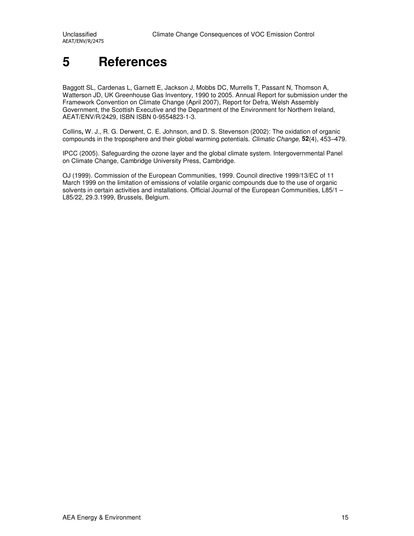# **5 References**

Baggott SL, Cardenas L, Garnett E, Jackson J, Mobbs DC, Murrells T, Passant N, Thomson A, Watterson JD, UK Greenhouse Gas Inventory, 1990 to 2005. Annual Report for submission under the Framework Convention on Climate Change (April 2007), Report for Defra, Welsh Assembly Government, the Scottish Executive and the Department of the Environment for Northern Ireland, AEAT/ENV/R/2429, ISBN ISBN 0-9554823-1-3.

Collins**,** W. J., R. G. Derwent, C. E. Johnson, and D. S. Stevenson (2002): The oxidation of organic compounds in the troposphere and their global warming potentials. Climatic Change, **52**(4), 453–479.

IPCC (2005). Safeguarding the ozone layer and the global climate system. Intergovernmental Panel on Climate Change, Cambridge University Press, Cambridge.

OJ (1999). Commission of the European Communities, 1999. Council directive 1999/13/EC of 11 March 1999 on the limitation of emissions of volatile organic compounds due to the use of organic solvents in certain activities and installations. Official Journal of the European Communities, L85/1 -L85/22, 29.3.1999, Brussels, Belgium.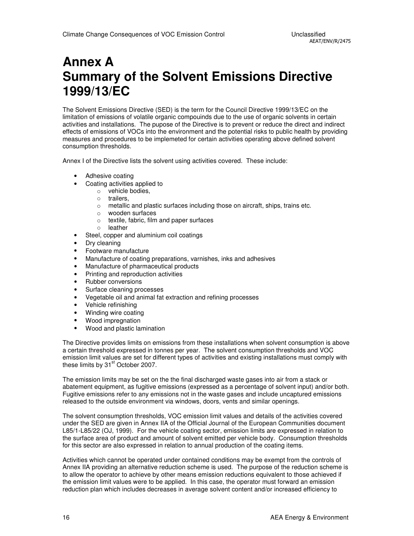### **Annex A Summary of the Solvent Emissions Directive 1999/13/EC**

The Solvent Emissions Directive (SED) is the term for the Council Directive 1999/13/EC on the limitation of emissions of volatile organic compouinds due to the use of organic solvents in certain activities and installations. The pupose of the Directive is to prevent or reduce the direct and indirect effects of emissions of VOCs into the environment and the potential risks to public health by providing measures and procedures to be implemeted for certain activities operating above defined solvent consumption thresholds.

Annex I of the Directive lists the solvent using activities covered. These include:

- Adhesive coating
- Coating activities applied to
	- o vehicle bodies,
	- o trailers,
	- o metallic and plastic surfaces including those on aircraft, ships, trains etc.
	- o wooden surfaces
	- o textile, fabric, film and paper surfaces
	- o leather
- Steel, copper and aluminium coil coatings
- Dry cleaning
- Footware manufacture
- Manufacture of coating preparations, varnishes, inks and adhesives
- Manufacture of pharmaceutical products
- Printing and reproduction activities
- Rubber conversions
- Surface cleaning processes
- Vegetable oil and animal fat extraction and refining processes
- Vehicle refinishing
- Winding wire coating
- Wood impregnation
- Wood and plastic lamination

The Directive provides limits on emissions from these installations when solvent consumption is above a certain threshold expressed in tonnes per year. The solvent consumption thresholds and VOC emission limit values are set for different types of activities and existing installations must comply with these limits by  $31<sup>st</sup>$  October 2007.

The emission limits may be set on the the final discharged waste gases into air from a stack or abatement equipment, as fugitive emissions (expressed as a percentage of solvent input) and/or both. Fugitive emissions refer to any emissions not in the waste gases and include uncaptured emissions released to the outside environment via windows, doors, vents and similar openings.

The solvent consumption thresholds, VOC emission limit values and details of the activities covered under the SED are given in Annex IIA of the Official Journal of the European Communities document L85/1-L85/22 (OJ, 1999). For the vehicle coating sector, emission limits are expressed in relation to the surface area of product and amount of solvent emitted per vehicle body. Consumption thresholds for this sector are also expressed in relation to annual production of the coating items.

Activities which cannot be operated under contained conditions may be exempt from the controls of Annex IIA providing an alternative reduction scheme is used. The purpose of the reduction scheme is to allow the operator to achieve by other means emission reductions equivalent to those achieved if the emission limit values were to be applied. In this case, the operator must forward an emission reduction plan which includes decreases in average solvent content and/or increased efficiency to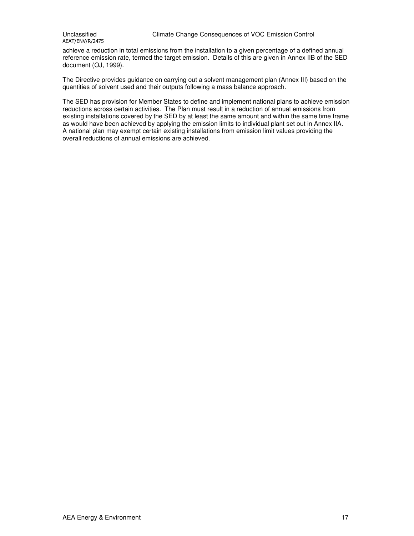AEAT/ENV/R/2475

achieve a reduction in total emissions from the installation to a given percentage of a defined annual reference emission rate, termed the target emission. Details of this are given in Annex IIB of the SED document (OJ, 1999).

The Directive provides guidance on carrying out a solvent management plan (Annex III) based on the quantities of solvent used and their outputs following a mass balance approach.

The SED has provision for Member States to define and implement national plans to achieve emission reductions across certain activities. The Plan must result in a reduction of annual emissions from existing installations covered by the SED by at least the same amount and within the same time frame as would have been achieved by applying the emission limits to individual plant set out in Annex IIA. A national plan may exempt certain existing installations from emission limit values providing the overall reductions of annual emissions are achieved.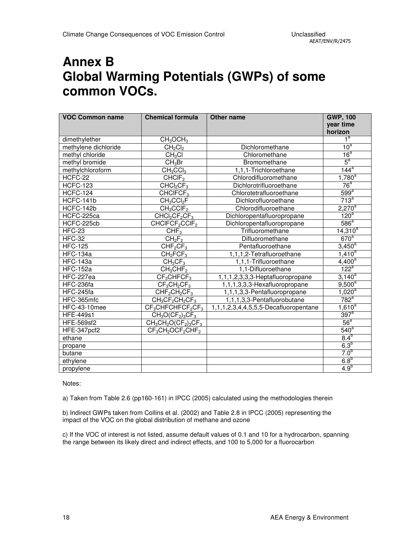### **Annex B Global Warming Potentials (GWPs) of some common VOCs.**

| <b>VOC Common name</b>                | <b>Chemical formula</b>                | <b>Other name</b>                              | <b>GWP, 100</b>      |
|---------------------------------------|----------------------------------------|------------------------------------------------|----------------------|
|                                       |                                        |                                                | year time<br>horizon |
| dimethylether                         | $CH_3OCH_3$                            |                                                | $\overline{1}^a$     |
| methylene dichloride                  | CH <sub>2</sub> Cl <sub>2</sub>        | Dichloromethane                                | 10 <sup>a</sup>      |
| methyl chloride<br>CH <sub>3</sub> Cl |                                        | Chloromethane                                  | 16 <sup>a</sup>      |
| methyl bromide                        | CH <sub>3</sub> Br                     | Bromomethane                                   | $5^a$                |
| methylchloroform                      | CH <sub>3</sub> CCI <sub>3</sub>       | 1,1,1-Trichloroethane                          | $144^a$              |
| HCFC-22                               | CHCIF <sub>2</sub>                     | Chlorodifluoromethane                          | $1,780^{a}$          |
| <b>HCFC-123</b>                       | CHCl <sub>2</sub> CF <sub>3</sub>      | Dichlorotrifluoroethane                        | 76 <sup>a</sup>      |
| <b>HCFC-124</b>                       | CHCIFCF <sub>3</sub>                   | Chlorotetrafluoroethane                        | $599^a$              |
| HCFC-141b                             | $CH_3CCl_2F$                           | Dichlorofluoroethane                           | 713 <sup>a</sup>     |
| HCFC-142b                             | $CH_3CCIF_2$                           | Chlorodifluoroethane                           | $2,270^a$            |
| HCFC-225ca                            | $CHCl2CF2CF3$                          | Dichloropentafluoropropane                     | 120 <sup>a</sup>     |
| HCFC-225cb                            | CHCIFCF <sub>2</sub> CCIF <sub>2</sub> | Dichloropentafluoropropane                     | 586 <sup>a</sup>     |
| $HFC-23$                              | CHF <sub>3</sub>                       | Trifluoromethane                               | $14,310^{a}$         |
| $HFC-32$                              | CH <sub>2</sub> F <sub>2</sub>         | Difluoromethane                                | 670 <sup>a</sup>     |
| <b>HFC-125</b>                        | CHF <sub>2</sub> CF <sub>3</sub>       | Pentafluoroethane                              | $3,450^{a}$          |
| <b>HFC-134a</b>                       | CH <sub>2</sub> FCF <sub>3</sub>       | 1,1,1,2-Tetrafluoroethane                      | $1,410^{a}$          |
| <b>HFC-143a</b>                       | CH <sub>3</sub> CF <sub>3</sub>        | 1,1,1-Trifluoroethane                          | $4,400^{\circ}$      |
| <b>HFC-152a</b>                       | CH <sub>3</sub> CHF <sub>2</sub>       | 1,1-Difluoroethane                             | 122 <sup>a</sup>     |
| HFC-227ea                             | $CF_3CHFCF_3$                          | 1,1,1,2,3,3,3-Heptafluoropropane               | $3,140^a$            |
| HFC-236fa                             | $CF_3CH_2CF_3$                         | 1,1,1,3,3,3-Hexafluoropropane                  | $9,500^{\circ}$      |
| HFC-245fa                             | $CHF2CH2CF3$                           | 1,1,1,3,3-Pentafluoropropane                   | $1,020^{a}$          |
| HFC-365mfc                            | $CH_3CF_2CH_2CF_3$                     | 1,1,1,3,3-Pentafluorobutane                    | $782^a$              |
| <b>HFC-43-10mee</b>                   | $CF_3CHFCHFCF_2CF_3$                   | 1, 1, 1, 2, 3, 4, 4, 5, 5, 5-Decafluoropentane | $1,610^{a}$          |
| <b>HFE-449s1</b>                      | $\overline{CH_3O(CF_2)_3CF_3}$         |                                                | $397^{\circ}$        |
| <b>HFE-569sf2</b>                     | $CH_3CH_2O(CF_2)_3CF_3$                |                                                | 56 <sup>a</sup>      |
| HFE-347pcf2                           | $CF_3CH_2OCF_2CHF_2$                   |                                                | 540 <sup>a</sup>     |
| ethane                                |                                        |                                                | 8.4 <sup>b</sup>     |
| propane                               |                                        |                                                | 6.3 <sup>b</sup>     |
| butane                                |                                        |                                                | 7.0 <sup>b</sup>     |
| ethylene                              |                                        |                                                | 6.8 <sup>b</sup>     |
| propylene                             |                                        |                                                | 4.9 <sup>b</sup>     |

Notes:

a) Taken from Table 2.6 (pp160-161) in IPCC (2005) calculated using the methodologies therein

b) Indirect GWPs taken from Collins et al. (2002) and Table 2.8 in IPCC (2005) representing the impact of the VOC on the global distribution of methane and ozone

c) If the VOC of interest is not listed, assume default values of 0.1 and 10 for a hydrocarbon, spanning the range between its likely direct and indirect effects, and 100 to 5,000 for a fluorocarbon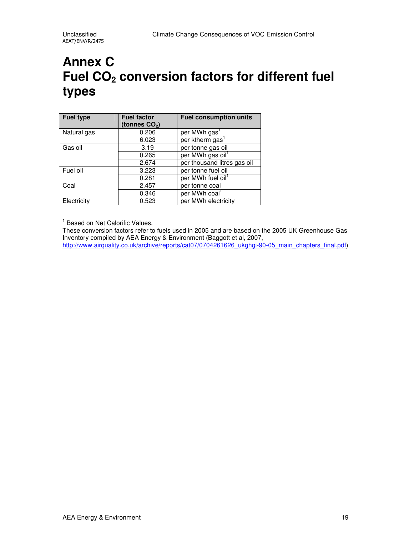## **Annex C Fuel CO2 conversion factors for different fuel types**

| <b>Fuel type</b> | <b>Fuel factor</b><br>(tonnes $CO2$ ) | <b>Fuel consumption units</b> |
|------------------|---------------------------------------|-------------------------------|
| Natural gas      | 0.206                                 | per MWh gas                   |
|                  | 6.023                                 | per ktherm gas                |
| Gas oil          | 3.19                                  | per tonne gas oil             |
|                  | 0.265                                 | per MWh gas oil <sup>1</sup>  |
|                  | 2.674                                 | per thousand litres gas oil   |
| Fuel oil         | 3.223                                 | per tonne fuel oil            |
|                  | 0.281                                 | per MWh fuel oil <sup>1</sup> |
| Coal             | 2.457                                 | per tonne coal                |
|                  | 0.346                                 | per MWh coal <sup>1</sup>     |
| Electricity      | 0.523                                 | per MWh electricity           |

<sup>1</sup> Based on Net Calorific Values.

These conversion factors refer to fuels used in 2005 and are based on the 2005 UK Greenhouse Gas Inventory compiled by AEA Energy & Environment (Baggott et al, 2007, http://www.airquality.co.uk/archive/reports/cat07/0704261626\_ukghgi-90-05\_main\_chapters\_final.pdf)